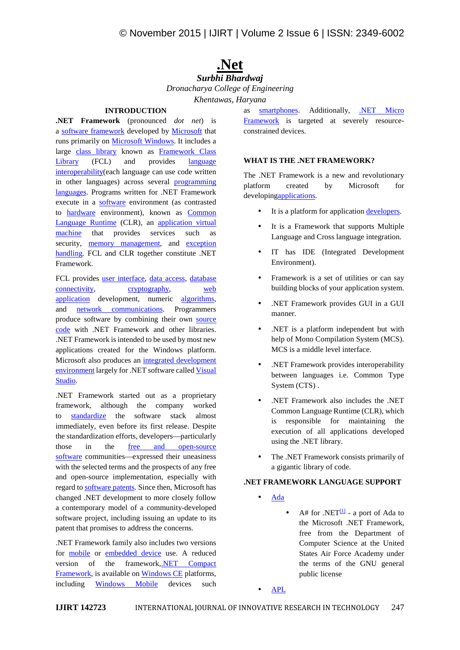# **.Net**

## *Surbhi Bhardwaj Dronacharya College of Engineering Khentawas, Haryana*

# **INTRODUCTION**

**.NET Framework** (pronounced *dot net*) is a software framework developed by Microsoft that runs primarily on Microsoft Windows. It includes a large class library known as Framework Class Library (FCL) and provides language interoperability(each language can use code written in other languages) across several **programming** platform languages. Programs written for .NET Framework execute in a software environment (as contrasted to hardware environment), known as Common Language Runtime (CLR), an application virtual machine that provides services such as security, memory management, and exception handling. FCL and CLR together constitute .NET Framework.

FCL provides user interface, data access, database connectivity, cryptography, web application development, numeric algorithms, and network communications. Programmers produce software by combining their own source code with .NET Framework and other libraries. .NET Framework is intended to be used by most new applications created for the Windows platform. Microsoft also produces an integrated development environment largely for .NET software called Visual Studio.

.NET Framework started out as a proprietary framework, although the company worked to standardize the software stack almost immediately, even before its first release. Despite the standardization efforts, developers—particularly those in the free and open-source software communities—expressed their uneasiness with the selected terms and the prospects of any free and open-source implementation, especially with regard to software patents. Since then, Microsoft has changed .NET development to more closely follow a contemporary model of a community-developed software project, including issuing an update to its patent that promises to address the concerns.

.NET Framework family also includes two versions for mobile or embedded device use. A reduced version of the framework,.NET Compact Framework, is available on Windows CE platforms, including Windows Mobile devices such

as smartphones. Additionally, .NET Micro Framework is targeted at severely resource constrained devices.

#### **WHAT IS THE .NET FRAMEWORK?**

The .NET Framework is a new and revolutionary created by Microsoft for developingapplications.

- It is a platform for application developers.
- It is a Framework that supports Multiple Language and Cross language integration.
- IT has IDE (Integrated Development Environment).
- Framework is a set of utilities or can say building blocks of your application system.
- .NET Framework provides GUI in a GUI manner.
- .NET is a platform independent but with help of Mono Compilation System (MCS). MCS is a middle level interface.
- .NET Framework provides interoperability between languages i.e. Common Type System (CTS) .
- .NET Framework also includes the .NET Common Language Runtime (CLR), which is responsible for maintaining the execution of all applications developed using the .NET library.
- The .NET Framework consists primarily of a gigantic library of code.

#### **.NET FRAMEWORK LANGUAGE SUPPORT**

- Ada
	- $\bullet$  A# for .NET<sup>[1]</sup> a port of Ada to the Microsoft .NET Framework, free from the Department of Computer Science at the United States Air Force Academy under the terms of the GNU general public license

APL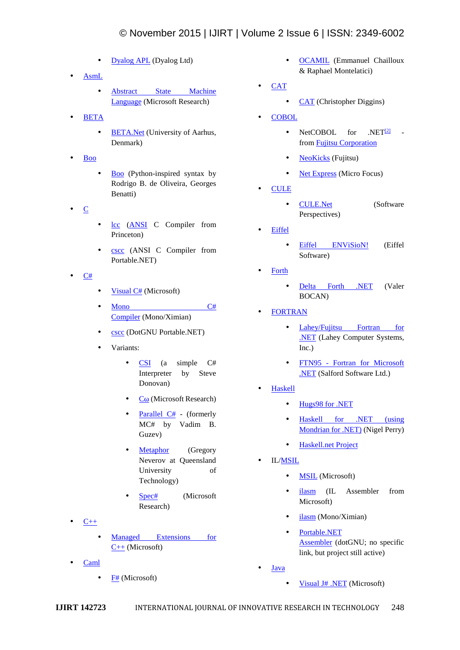# © November 2015 | IJIRT | Volume 2 Issue 6 | ISSN: 2349-6002

- Dyalog APL (Dyalog Ltd)
- AsmL
	- Abstract State Machine Language (Microsoft Research)
- BETA
	- BETA.Net (University of Aarhus, Denmark)
- Boo
	- Boo (Python-inspired syntax by Rodrigo B. de Oliveira, Georges Benatti)
- $\bullet$  C
- lcc (ANSI C Compiler from Princeton)
- cscc (ANSI C Compiler from Portable.NET)
- C#
- Visual  $C#$  (Microsoft)
- Mono C# Compiler (Mono/Ximian)
- cscc (DotGNU Portable.NET)
- Variants:
	- **CSI** (a simple C# Interpreter by Steve Donovan)
	- $\bullet$   $\mathbf{C}$  (Microsoft Research)
	- Parallel  $C#$  (formerly MC# by Vadim B. Guzev)
	- Metaphor (Gregory Neverov at Queensland University of Technology)
	- Spec# (Microsoft Research)
- $C++$ 
	- Managed Extensions for C++ (Microsoft)
- Caml
	- $\bullet$  F# (Microsoft)
- OCAMIL (Emmanuel Chailloux & Raphael Montelatici)
- **CAT** 
	- CAT (Christopher Diggins)
- **COBOL** 
	- $NetCOBOL$  for  $.NET<sup>[2]</sup>$ from Fujitsu Corporation
	- NeoKicks (Fujitsu)
	- Net Express (Micro Focus)
- CULE
	- CULE.Net (Software Perspectives)
- Eiffel
	- Eiffel ENViSioN! (Eiffel Software)
- Forth
	- Delta Forth .NET (Valer BOCAN)
- FORTRAN
	- Lahey/Fujitsu Fortran for .NET (Lahey Computer Systems, Inc.)
	- FTN95 Fortran for Microsoft .NET (Salford Software Ltd.)
- Haskell
	- Hugs98 for .NET
	- Haskell for .NET (using Mondrian for .NET) (Nigel Perry)
	- Haskell.net Project
- IL/MSIL
	- **MSIL** (Microsoft)
	- ilasm (IL Assembler from Microsoft)
	- ilasm (Mono/Ximian)
	- Portable.NET Assembler (dotGNU; no specific link, but project still active)
- Java
	- Visual J# .NET (Microsoft)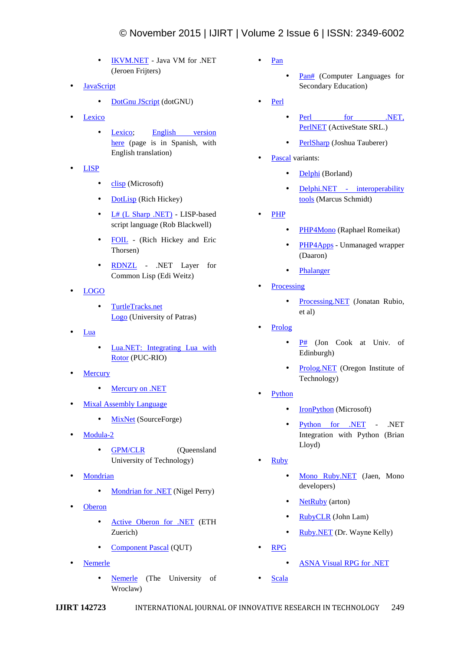- IKVM.NET Java VM for .NET (Jeroen Frijters)
- JavaScript
	- DotGnu JScript (dotGNU)
- Lexico
	- Lexico: English version here (page is in Spanish, with English translation)
- LISP
	- $\bullet$  clisp (Microsoft)
	- DotLisp (Rich Hickey)
	- L# (L Sharp .NET) LISP-based script language (Rob Blackwell)
	- FOIL (Rich Hickey and Eric Thorsen)
	- RDNZL .NET Layer for Common Lisp (Edi Weitz)
- LOGO
	- TurtleTracks.net Logo (University of Patras)
- Lua
	- Lua.NET: Integrating Lua with Rotor (PUC-RIO)
- **Mercury** 
	- Mercury on .NET
- Mixal Assembly Language
	- MixNet (SourceForge)
- Modula-2
	- **GPM/CLR** (Queensland University of Technology)
- **Mondrian** 
	- Mondrian for .NET (Nigel Perry)
- **Oberon** 
	- Active Oberon for .NET (ETH Zuerich)
	- Component Pascal (QUT)
- Nemerle
	- Nemerle (The University of Wroclaw)
- Pan
	- Pan# (Computer Languages for Secondary Education)
- Perl
	- Perl for .NET, PerlNET (ActiveState SRL.)
	- PerlSharp (Joshua Tauberer)
- Pascal variants:
	- Delphi (Borland)
	- Delphi.NET interoperability tools (Marcus Schmidt)
- PHP
	- PHP4Mono (Raphael Romeikat)
	- PHP4Apps Unmanaged wrapper (Daaron)
	- Phalanger
- Processing
	- Processing.NET (Jonatan Rubio, et al)
- Prolog
	- $\bullet$  P# (Jon Cook at Univ. of Edinburgh)
	- Prolog.NET (Oregon Institute of Technology)
- Python
	- IronPython (Microsoft)
	- Python for .NET .NET Integration with Python (Brian Lloyd)
- Ruby
	- Mono Ruby.NET (Jaen, Mono developers)
	- NetRuby (arton)
	- RubyCLR (John Lam)
	- Ruby.NET (Dr. Wayne Kelly)
- RPG
	- ASNA Visual RPG for .NET
- Scala